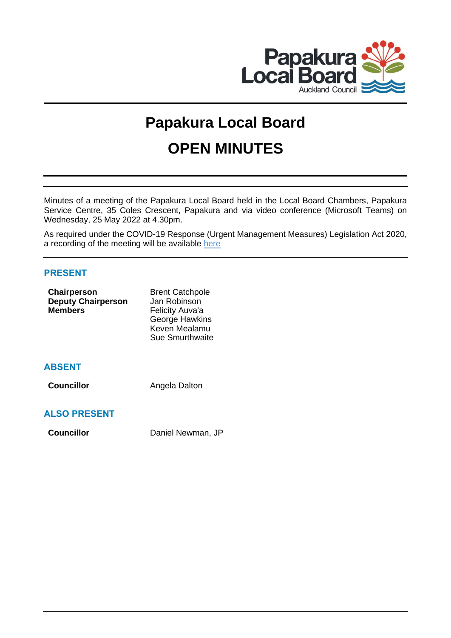

# **Papakura Local Board OPEN MINUTES**

Minutes of a meeting of the Papakura Local Board held in the Local Board Chambers, Papakura Service Centre, 35 Coles Crescent, Papakura and via video conference (Microsoft Teams) on Wednesday, 25 May 2022 at 4.30pm.

As required under the COVID-19 Response (Urgent Management Measures) Legislation Act 2020, a recording of the meeting will be available [here](https://www.aucklandcouncil.govt.nz/about-auckland-council/how-auckland-council-works/meetings-council-bodies/Pages/webcasts-council-meetings.aspx)

# **PRESENT**

| Chairperson<br><b>Deputy Chairperson</b><br><b>Members</b> | <b>Brent Catchpole</b><br>Jan Robinson<br>Felicity Auva'a<br>George Hawkins<br>Keven Mealamu<br>Sue Smurthwaite |
|------------------------------------------------------------|-----------------------------------------------------------------------------------------------------------------|
| <b>ABSENT</b>                                              |                                                                                                                 |

**Councillor Angela Dalton** 

# **ALSO PRESENT**

**Councillor** Daniel Newman, JP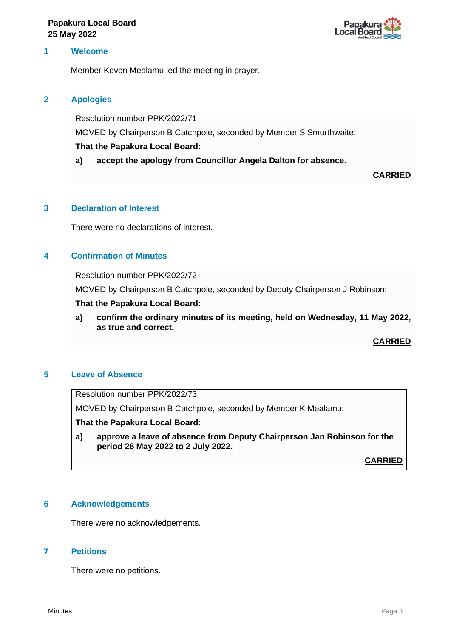

# **1 Welcome**

Member Keven Mealamu led the meeting in prayer.

#### **2 Apologies**

Resolution number PPK/2022/71

MOVED by Chairperson B Catchpole, seconded by Member S Smurthwaite:

## **That the Papakura Local Board:**

**a) accept the apology from Councillor Angela Dalton for absence.**

**CARRIED**

# **3 Declaration of Interest**

There were no declarations of interest.

# **4 Confirmation of Minutes**

Resolution number PPK/2022/72

MOVED by Chairperson B Catchpole, seconded by Deputy Chairperson J Robinson:

#### **That the Papakura Local Board:**

**a) confirm the ordinary minutes of its meeting, held on Wednesday, 11 May 2022, as true and correct.**

**CARRIED**

#### **5 Leave of Absence**

Resolution number PPK/2022/73

MOVED by Chairperson B Catchpole, seconded by Member K Mealamu:

**That the Papakura Local Board:**

**a) approve a leave of absence from Deputy Chairperson Jan Robinson for the period 26 May 2022 to 2 July 2022.**

**CARRIED**

# **6 Acknowledgements**

There were no acknowledgements.

#### **7 Petitions**

There were no petitions.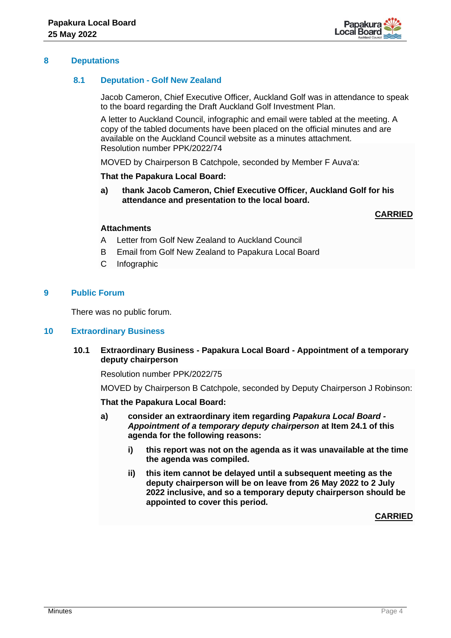

## **8 Deputations**

## **8.1 Deputation - Golf New Zealand**

Jacob Cameron, Chief Executive Officer, Auckland Golf was in attendance to speak to the board regarding the Draft Auckland Golf Investment Plan.

A letter to Auckland Council, infographic and email were tabled at the meeting. A copy of the tabled documents have been placed on the official minutes and are available on the Auckland Council website as a minutes attachment. Resolution number PPK/2022/74

MOVED by Chairperson B Catchpole, seconded by Member F Auva'a:

#### **That the Papakura Local Board:**

**a) thank Jacob Cameron, Chief Executive Officer, Auckland Golf for his attendance and presentation to the local board.**

**CARRIED**

# **Attachments**

- A Letter from Golf New Zealand to Auckland Council
- B Email from Golf New Zealand to Papakura Local Board
- C Infographic

#### **9 Public Forum**

There was no public forum.

#### **10 Extraordinary Business**

#### **10.1 Extraordinary Business - Papakura Local Board - Appointment of a temporary deputy chairperson**

Resolution number PPK/2022/75

MOVED by Chairperson B Catchpole, seconded by Deputy Chairperson J Robinson:

#### **That the Papakura Local Board:**

- **a) consider an extraordinary item regarding** *Papakura Local Board - Appointment of a temporary deputy chairperson* **at Item 24.1 of this agenda for the following reasons:**
	- **i) this report was not on the agenda as it was unavailable at the time the agenda was compiled.**
	- **ii) this item cannot be delayed until a subsequent meeting as the deputy chairperson will be on leave from 26 May 2022 to 2 July 2022 inclusive, and so a temporary deputy chairperson should be appointed to cover this period.**

**CARRIED**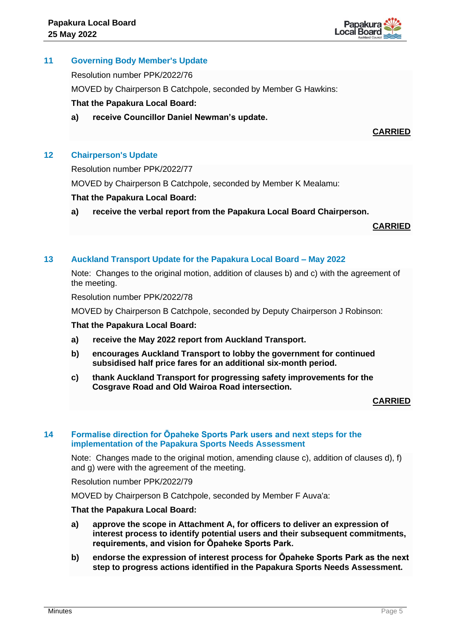

# **11 Governing Body Member's Update**

Resolution number PPK/2022/76

MOVED by Chairperson B Catchpole, seconded by Member G Hawkins:

# **That the Papakura Local Board:**

**a) receive Councillor Daniel Newman's update.**

**CARRIED**

# **12 Chairperson's Update**

Resolution number PPK/2022/77

MOVED by Chairperson B Catchpole, seconded by Member K Mealamu:

#### **That the Papakura Local Board:**

**a) receive the verbal report from the Papakura Local Board Chairperson.**

**CARRIED**

#### **13 Auckland Transport Update for the Papakura Local Board – May 2022**

Note: Changes to the original motion, addition of clauses b) and c) with the agreement of the meeting.

Resolution number PPK/2022/78

MOVED by Chairperson B Catchpole, seconded by Deputy Chairperson J Robinson:

**That the Papakura Local Board:**

- **a) receive the May 2022 report from Auckland Transport.**
- **b) encourages Auckland Transport to lobby the government for continued subsidised half price fares for an additional six-month period.**
- **c) thank Auckland Transport for progressing safety improvements for the Cosgrave Road and Old Wairoa Road intersection.**

#### **CARRIED**

#### **14 Formalise direction for Ōpaheke Sports Park users and next steps for the implementation of the Papakura Sports Needs Assessment**

Note: Changes made to the original motion, amending clause c), addition of clauses d), f) and g) were with the agreement of the meeting.

Resolution number PPK/2022/79

MOVED by Chairperson B Catchpole, seconded by Member F Auva'a:

#### **That the Papakura Local Board:**

- **a) approve the scope in Attachment A, for officers to deliver an expression of interest process to identify potential users and their subsequent commitments, requirements, and vision for Ōpaheke Sports Park.**
- **b) endorse the expression of interest process for Ōpaheke Sports Park as the next step to progress actions identified in the Papakura Sports Needs Assessment.**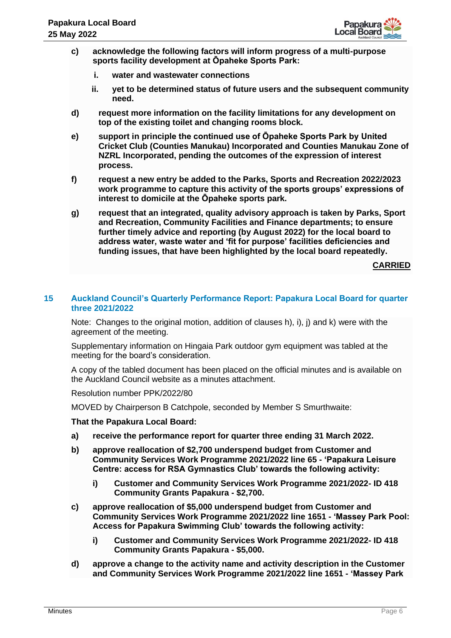

- **c) acknowledge the following factors will inform progress of a multi-purpose sports facility development at Ōpaheke Sports Park:**
	- **i. water and wastewater connections**
	- **ii. yet to be determined status of future users and the subsequent community need.**
- **d) request more information on the facility limitations for any development on top of the existing toilet and changing rooms block.**
- **e) support in principle the continued use of Ōpaheke Sports Park by United Cricket Club (Counties Manukau) Incorporated and Counties Manukau Zone of NZRL Incorporated, pending the outcomes of the expression of interest process.**
- **f) request a new entry be added to the Parks, Sports and Recreation 2022/2023 work programme to capture this activity of the sports groups' expressions of interest to domicile at the Ōpaheke sports park.**
- **g) request that an integrated, quality advisory approach is taken by Parks, Sport and Recreation, Community Facilities and Finance departments; to ensure further timely advice and reporting (by August 2022) for the local board to address water, waste water and 'fit for purpose' facilities deficiencies and funding issues, that have been highlighted by the local board repeatedly.**

**CARRIED**

#### **15 Auckland Council's Quarterly Performance Report: Papakura Local Board for quarter three 2021/2022**

Note: Changes to the original motion, addition of clauses h), i), i) and k) were with the agreement of the meeting.

Supplementary information on Hingaia Park outdoor gym equipment was tabled at the meeting for the board's consideration.

A copy of the tabled document has been placed on the official minutes and is available on the Auckland Council website as a minutes attachment.

Resolution number PPK/2022/80

MOVED by Chairperson B Catchpole, seconded by Member S Smurthwaite:

# **That the Papakura Local Board:**

- **a) receive the performance report for quarter three ending 31 March 2022.**
- **b) approve reallocation of \$2,700 underspend budget from Customer and Community Services Work Programme 2021/2022 line 65 - 'Papakura Leisure Centre: access for RSA Gymnastics Club' towards the following activity:**
	- **i) Customer and Community Services Work Programme 2021/2022- ID 418 Community Grants Papakura - \$2,700.**
- **c) approve reallocation of \$5,000 underspend budget from Customer and Community Services Work Programme 2021/2022 line 1651 - 'Massey Park Pool: Access for Papakura Swimming Club' towards the following activity:**
	- **i) Customer and Community Services Work Programme 2021/2022- ID 418 Community Grants Papakura - \$5,000.**
- **d) approve a change to the activity name and activity description in the Customer and Community Services Work Programme 2021/2022 line 1651 - 'Massey Park**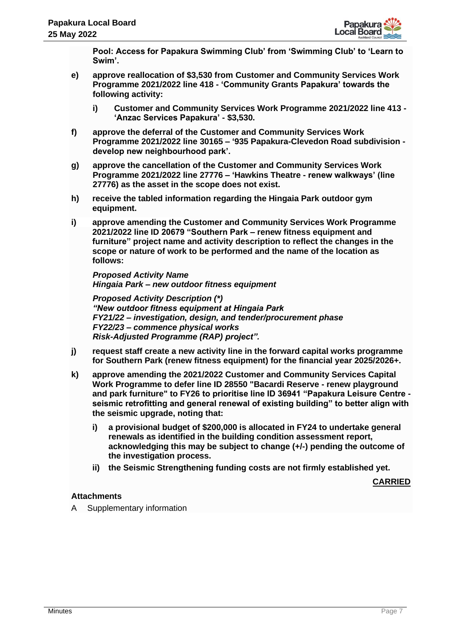

**Pool: Access for Papakura Swimming Club' from 'Swimming Club' to 'Learn to Swim'.**

- **e) approve reallocation of \$3,530 from Customer and Community Services Work Programme 2021/2022 line 418 - 'Community Grants Papakura' towards the following activity:**
	- **i) Customer and Community Services Work Programme 2021/2022 line 413 - 'Anzac Services Papakura' - \$3,530.**
- **f) approve the deferral of the Customer and Community Services Work Programme 2021/2022 line 30165 – '935 Papakura-Clevedon Road subdivision develop new neighbourhood park'.**
- **g) approve the cancellation of the Customer and Community Services Work Programme 2021/2022 line 27776 – 'Hawkins Theatre - renew walkways' (line 27776) as the asset in the scope does not exist.**
- **h) receive the tabled information regarding the Hingaia Park outdoor gym equipment.**
- **i) approve amending the Customer and Community Services Work Programme 2021/2022 line ID 20679 "Southern Park – renew fitness equipment and furniture" project name and activity description to reflect the changes in the scope or nature of work to be performed and the name of the location as follows:**

*Proposed Activity Name Hingaia Park – new outdoor fitness equipment*

*Proposed Activity Description (\*) "New outdoor fitness equipment at Hingaia Park FY21/22 – investigation, design, and tender/procurement phase FY22/23 – commence physical works Risk-Adjusted Programme (RAP) project".*

- **j) request staff create a new activity line in the forward capital works programme for Southern Park (renew fitness equipment) for the financial year 2025/2026+.**
- **k) approve amending the 2021/2022 Customer and Community Services Capital Work Programme to defer line ID 28550 "Bacardi Reserve - renew playground and park furniture" to FY26 to prioritise line ID 36941 "Papakura Leisure Centre seismic retrofitting and general renewal of existing building" to better align with the seismic upgrade, noting that:**
	- **i) a provisional budget of \$200,000 is allocated in FY24 to undertake general renewals as identified in the building condition assessment report, acknowledging this may be subject to change (+/-) pending the outcome of the investigation process.**
	- **ii) the Seismic Strengthening funding costs are not firmly established yet.**

**CARRIED**

# **Attachments**

A Supplementary information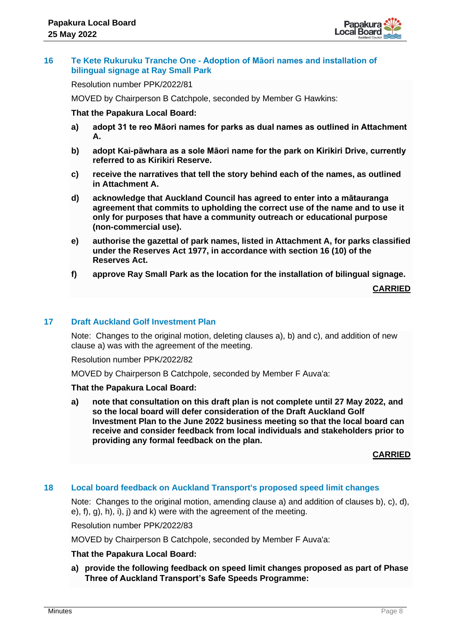

## **16 Te Kete Rukuruku Tranche One - Adoption of Māori names and installation of bilingual signage at Ray Small Park**

Resolution number PPK/2022/81

MOVED by Chairperson B Catchpole, seconded by Member G Hawkins:

#### **That the Papakura Local Board:**

- **a) adopt 31 te reo Māori names for parks as dual names as outlined in Attachment A.**
- **b) adopt Kai-pāwhara as a sole Māori name for the park on Kirikiri Drive, currently referred to as Kirikiri Reserve.**
- **c) receive the narratives that tell the story behind each of the names, as outlined in Attachment A.**
- **d) acknowledge that Auckland Council has agreed to enter into a mātauranga agreement that commits to upholding the correct use of the name and to use it only for purposes that have a community outreach or educational purpose (non-commercial use).**
- **e) authorise the gazettal of park names, listed in Attachment A, for parks classified under the Reserves Act 1977, in accordance with section 16 (10) of the Reserves Act.**
- **f) approve Ray Small Park as the location for the installation of bilingual signage.**

**CARRIED**

# **17 Draft Auckland Golf Investment Plan**

Note: Changes to the original motion, deleting clauses a), b) and c), and addition of new clause a) was with the agreement of the meeting.

Resolution number PPK/2022/82

MOVED by Chairperson B Catchpole, seconded by Member F Auva'a:

#### **That the Papakura Local Board:**

**a) note that consultation on this draft plan is not complete until 27 May 2022, and so the local board will defer consideration of the Draft Auckland Golf Investment Plan to the June 2022 business meeting so that the local board can receive and consider feedback from local individuals and stakeholders prior to providing any formal feedback on the plan.**

**CARRIED**

# **18 Local board feedback on Auckland Transport's proposed speed limit changes**

Note: Changes to the original motion, amending clause a) and addition of clauses b), c), d), e), f), g), h), i), j) and k) were with the agreement of the meeting.

Resolution number PPK/2022/83

MOVED by Chairperson B Catchpole, seconded by Member F Auva'a:

#### **That the Papakura Local Board:**

**a) provide the following feedback on speed limit changes proposed as part of Phase Three of Auckland Transport's Safe Speeds Programme:**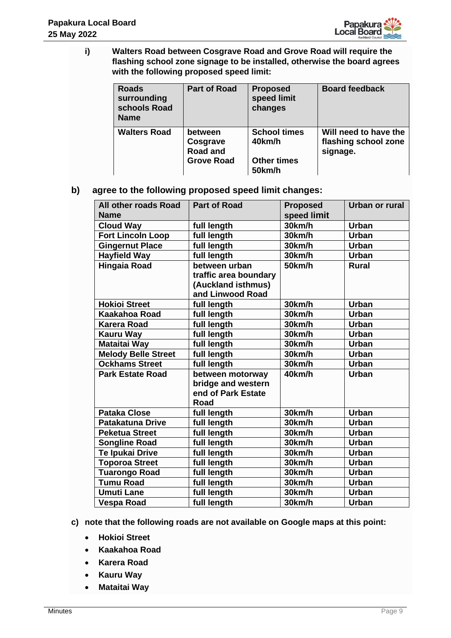

**i) Walters Road between Cosgrave Road and Grove Road will require the flashing school zone signage to be installed, otherwise the board agrees with the following proposed speed limit:**

| <b>Roads</b><br>surrounding<br>schools Road<br><b>Name</b> | <b>Part of Road</b>                                         | <b>Proposed</b><br>speed limit<br>changes                     | <b>Board feedback</b>                                     |
|------------------------------------------------------------|-------------------------------------------------------------|---------------------------------------------------------------|-----------------------------------------------------------|
| <b>Walters Road</b>                                        | between<br>Cosgrave<br><b>Road and</b><br><b>Grove Road</b> | <b>School times</b><br>40km/h<br><b>Other times</b><br>50km/h | Will need to have the<br>flashing school zone<br>signage. |

**b) agree to the following proposed speed limit changes:**

| All other roads Road<br><b>Name</b> | <b>Part of Road</b>   | <b>Proposed</b><br>speed limit | Urban or rural |
|-------------------------------------|-----------------------|--------------------------------|----------------|
| <b>Cloud Way</b>                    | full length           | 30km/h                         | <b>Urban</b>   |
| <b>Fort Lincoln Loop</b>            | full length           | 30km/h                         | <b>Urban</b>   |
| <b>Gingernut Place</b>              | full length           | 30km/h                         | <b>Urban</b>   |
| <b>Hayfield Way</b>                 | full length           | 30km/h                         | <b>Urban</b>   |
| <b>Hingaia Road</b>                 | between urban         | 50km/h                         | <b>Rural</b>   |
|                                     | traffic area boundary |                                |                |
|                                     | (Auckland isthmus)    |                                |                |
|                                     | and Linwood Road      |                                |                |
| <b>Hokioi Street</b>                | full length           | 30km/h                         | <b>Urban</b>   |
| <b>Kaakahoa Road</b>                | full length           | 30km/h                         | <b>Urban</b>   |
| <b>Karera Road</b>                  | full length           | 30km/h                         | <b>Urban</b>   |
| <b>Kauru Way</b>                    | full length           | 30km/h                         | <b>Urban</b>   |
| <b>Mataitai Way</b>                 | full length           | 30km/h                         | <b>Urban</b>   |
| <b>Melody Belle Street</b>          | full length           | 30km/h                         | <b>Urban</b>   |
| <b>Ockhams Street</b>               | full length           | 30km/h                         | <b>Urban</b>   |
| <b>Park Estate Road</b>             | between motorway      | 40km/h                         | <b>Urban</b>   |
|                                     | bridge and western    |                                |                |
|                                     | end of Park Estate    |                                |                |
|                                     | Road                  |                                |                |
| <b>Pataka Close</b>                 | full length           | 30km/h                         | <b>Urban</b>   |
| <b>Patakatuna Drive</b>             | full length           | 30km/h                         | <b>Urban</b>   |
| <b>Peketua Street</b>               | full length           | 30km/h                         | <b>Urban</b>   |
| <b>Songline Road</b>                | full length           | 30km/h                         | <b>Urban</b>   |
| Te Ipukai Drive                     | full length           | 30km/h                         | <b>Urban</b>   |
| <b>Toporoa Street</b>               | full length           | 30km/h                         | <b>Urban</b>   |
| Tuarongo Road                       | full length           | 30km/h                         | <b>Urban</b>   |
| <b>Tumu Road</b>                    | full length           | 30km/h                         | <b>Urban</b>   |
| <b>Umuti Lane</b>                   | full length           | 30km/h                         | <b>Urban</b>   |
| <b>Vespa Road</b>                   | full length           | 30km/h                         | <b>Urban</b>   |

- **c) note that the following roads are not available on Google maps at this point:**
	- **Hokioi Street**
	- **Kaakahoa Road**
	- **Karera Road**
	- **Kauru Way**
	- **Mataitai Way**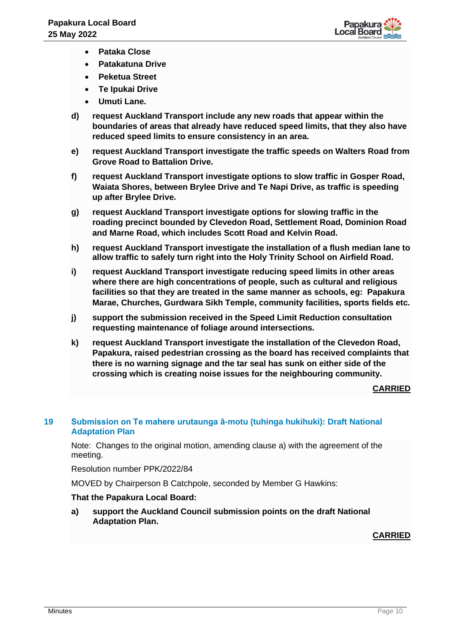

- **Pataka Close**
- **Patakatuna Drive**
- **Peketua Street**
- **Te Ipukai Drive**
- **Umuti Lane.**
- **d) request Auckland Transport include any new roads that appear within the boundaries of areas that already have reduced speed limits, that they also have reduced speed limits to ensure consistency in an area.**
- **e) request Auckland Transport investigate the traffic speeds on Walters Road from Grove Road to Battalion Drive.**
- **f) request Auckland Transport investigate options to slow traffic in Gosper Road, Waiata Shores, between Brylee Drive and Te Napi Drive, as traffic is speeding up after Brylee Drive.**
- **g) request Auckland Transport investigate options for slowing traffic in the roading precinct bounded by Clevedon Road, Settlement Road, Dominion Road and Marne Road, which includes Scott Road and Kelvin Road.**
- **h) request Auckland Transport investigate the installation of a flush median lane to allow traffic to safely turn right into the Holy Trinity School on Airfield Road.**
- **i) request Auckland Transport investigate reducing speed limits in other areas where there are high concentrations of people, such as cultural and religious facilities so that they are treated in the same manner as schools, eg: Papakura Marae, Churches, Gurdwara Sikh Temple, community facilities, sports fields etc.**
- **j) support the submission received in the Speed Limit Reduction consultation requesting maintenance of foliage around intersections.**
- **k) request Auckland Transport investigate the installation of the Clevedon Road, Papakura, raised pedestrian crossing as the board has received complaints that there is no warning signage and the tar seal has sunk on either side of the crossing which is creating noise issues for the neighbouring community.**

#### **CARRIED**

# **19 Submission on Te mahere urutaunga ā-motu (tuhinga hukihuki): Draft National Adaptation Plan**

Note: Changes to the original motion, amending clause a) with the agreement of the meeting.

Resolution number PPK/2022/84

MOVED by Chairperson B Catchpole, seconded by Member G Hawkins:

# **That the Papakura Local Board:**

**a) support the Auckland Council submission points on the draft National Adaptation Plan.**

# **CARRIED**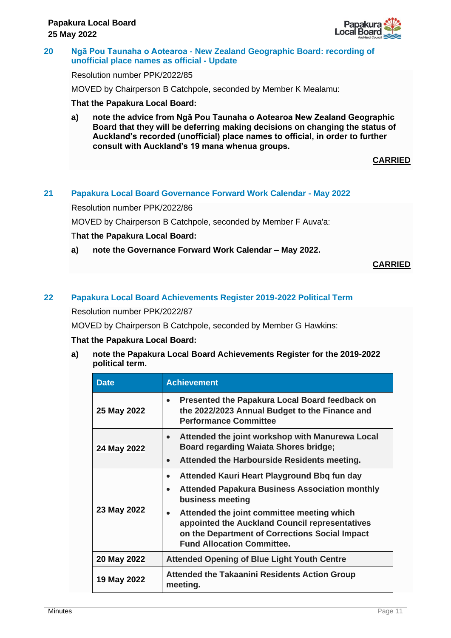

#### **20 Ngā Pou Taunaha o Aotearoa - New Zealand Geographic Board: recording of unofficial place names as official - Update**

#### Resolution number PPK/2022/85

MOVED by Chairperson B Catchpole, seconded by Member K Mealamu:

## **That the Papakura Local Board:**

**a) note the advice from Ngā Pou Taunaha o Aotearoa New Zealand Geographic Board that they will be deferring making decisions on changing the status of Auckland's recorded (unofficial) place names to official, in order to further consult with Auckland's 19 mana whenua groups.**

**CARRIED**

# **21 Papakura Local Board Governance Forward Work Calendar - May 2022**

Resolution number PPK/2022/86

MOVED by Chairperson B Catchpole, seconded by Member F Auva'a:

#### T**hat the Papakura Local Board:**

**a) note the Governance Forward Work Calendar – May 2022.**

**CARRIED**

# **22 Papakura Local Board Achievements Register 2019-2022 Political Term**

Resolution number PPK/2022/87

MOVED by Chairperson B Catchpole, seconded by Member G Hawkins:

#### **That the Papakura Local Board:**

**a) note the Papakura Local Board Achievements Register for the 2019-2022 political term.**

| <b>Date</b> | <b>Achievement</b>                                                                                                                                                                                                                                                                                                                                     |  |
|-------------|--------------------------------------------------------------------------------------------------------------------------------------------------------------------------------------------------------------------------------------------------------------------------------------------------------------------------------------------------------|--|
| 25 May 2022 | Presented the Papakura Local Board feedback on<br>$\bullet$<br>the 2022/2023 Annual Budget to the Finance and<br><b>Performance Committee</b>                                                                                                                                                                                                          |  |
| 24 May 2022 | Attended the joint workshop with Manurewa Local<br>$\bullet$<br><b>Board regarding Waiata Shores bridge;</b><br>Attended the Harbourside Residents meeting.<br>$\bullet$                                                                                                                                                                               |  |
| 23 May 2022 | Attended Kauri Heart Playground Bbq fun day<br>$\bullet$<br><b>Attended Papakura Business Association monthly</b><br>$\bullet$<br>business meeting<br>Attended the joint committee meeting which<br>$\bullet$<br>appointed the Auckland Council representatives<br>on the Department of Corrections Social Impact<br><b>Fund Allocation Committee.</b> |  |
| 20 May 2022 | <b>Attended Opening of Blue Light Youth Centre</b>                                                                                                                                                                                                                                                                                                     |  |
| 19 May 2022 | <b>Attended the Takaanini Residents Action Group</b><br>meeting.                                                                                                                                                                                                                                                                                       |  |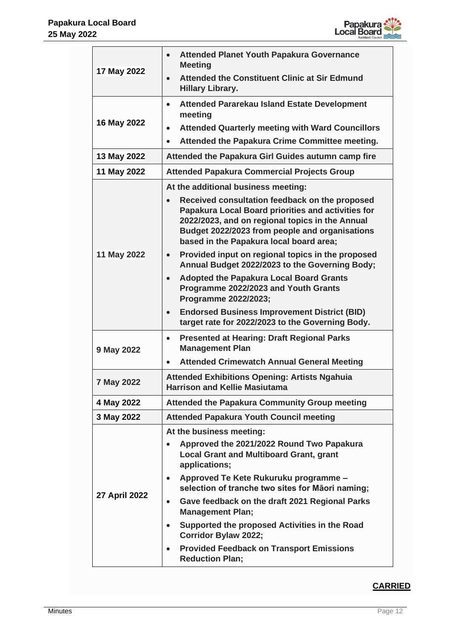

| 17 May 2022   | <b>Attended Planet Youth Papakura Governance</b><br>$\bullet$<br><b>Meeting</b>                                                                                                                                                                                   |  |
|---------------|-------------------------------------------------------------------------------------------------------------------------------------------------------------------------------------------------------------------------------------------------------------------|--|
|               | <b>Attended the Constituent Clinic at Sir Edmund</b><br>$\bullet$<br><b>Hillary Library.</b>                                                                                                                                                                      |  |
|               | <b>Attended Pararekau Island Estate Development</b><br>$\bullet$<br>meeting                                                                                                                                                                                       |  |
| 16 May 2022   | <b>Attended Quarterly meeting with Ward Councillors</b><br>$\bullet$                                                                                                                                                                                              |  |
|               | Attended the Papakura Crime Committee meeting.<br>$\bullet$                                                                                                                                                                                                       |  |
| 13 May 2022   | Attended the Papakura Girl Guides autumn camp fire                                                                                                                                                                                                                |  |
| 11 May 2022   | <b>Attended Papakura Commercial Projects Group</b>                                                                                                                                                                                                                |  |
|               | At the additional business meeting:                                                                                                                                                                                                                               |  |
| 11 May 2022   | Received consultation feedback on the proposed<br>$\bullet$<br>Papakura Local Board priorities and activities for<br>2022/2023, and on regional topics in the Annual<br>Budget 2022/2023 from people and organisations<br>based in the Papakura local board area; |  |
|               | Provided input on regional topics in the proposed<br>$\bullet$<br>Annual Budget 2022/2023 to the Governing Body;                                                                                                                                                  |  |
|               | <b>Adopted the Papakura Local Board Grants</b><br>Programme 2022/2023 and Youth Grants<br>Programme 2022/2023;                                                                                                                                                    |  |
|               | <b>Endorsed Business Improvement District (BID)</b><br>$\bullet$<br>target rate for 2022/2023 to the Governing Body.                                                                                                                                              |  |
| 9 May 2022    | <b>Presented at Hearing: Draft Regional Parks</b><br>$\bullet$<br><b>Management Plan</b>                                                                                                                                                                          |  |
|               | <b>Attended Crimewatch Annual General Meeting</b><br>$\bullet$                                                                                                                                                                                                    |  |
| 7 May 2022    | <b>Attended Exhibitions Opening: Artists Ngahuia</b><br><b>Harrison and Kellie Masiutama</b>                                                                                                                                                                      |  |
| 4 May 2022    | <b>Attended the Papakura Community Group meeting</b>                                                                                                                                                                                                              |  |
| 3 May 2022    | <b>Attended Papakura Youth Council meeting</b>                                                                                                                                                                                                                    |  |
| 27 April 2022 | At the business meeting:                                                                                                                                                                                                                                          |  |
|               | Approved the 2021/2022 Round Two Papakura<br>$\bullet$<br><b>Local Grant and Multiboard Grant, grant</b><br>applications;                                                                                                                                         |  |
|               | Approved Te Kete Rukuruku programme -<br>$\bullet$<br>selection of tranche two sites for Māori naming;                                                                                                                                                            |  |
|               | Gave feedback on the draft 2021 Regional Parks<br>$\bullet$<br><b>Management Plan;</b>                                                                                                                                                                            |  |
|               | Supported the proposed Activities in the Road<br>$\bullet$<br><b>Corridor Bylaw 2022;</b>                                                                                                                                                                         |  |
|               | <b>Provided Feedback on Transport Emissions</b><br>$\bullet$<br><b>Reduction Plan;</b>                                                                                                                                                                            |  |

# **CARRIED**